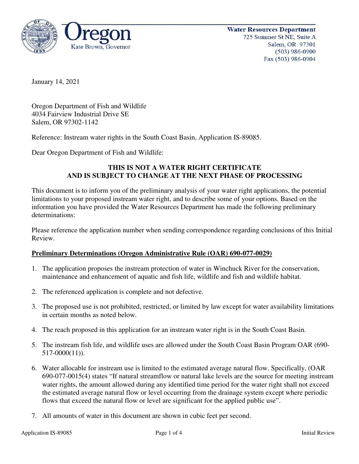

January 14, 2021

Oregon Department of Fish and Wildlife 4034 Fairview Industrial Drive SE Salem, OR 97302-1142

Reference: Instream water rights in the South Coast Basin, Application IS-89085.

Dear Oregon Department of Fish and Wildlife:

# **THIS IS NOT A WATER RIGHT CERTIFICATE AND IS SUBJECT TO CHANGE AT THE NEXT PHASE OF PROCESSING**

This document is to inform you of the preliminary analysis of your water right applications, the potential limitations to your proposed instream water right, and to describe some of your options. Based on the information you have provided the Water Resources Department has made the following preliminary determinations:

Please reference the application number when sending correspondence regarding conclusions of this Initial Review.

## **Preliminary Determinations (Oregon Administrative Rule (OAR) 690-077-0029)**

- 1. The application proposes the instream protection of water in Winchuck River for the conservation, maintenance and enhancement of aquatic and fish life, wildlife and fish and wildlife habitat.
- 2. The referenced application is complete and not defective.
- 3. The proposed use is not prohibited, restricted, or limited by law except for water availability limitations in certain months as noted below.
- 4. The reach proposed in this application for an instream water right is in the South Coast Basin.
- 5. The instream fish life, and wildlife uses are allowed under the South Coast Basin Program OAR (690- 517-0000(11)).
- 6. Water allocable for instream use is limited to the estimated average natural flow. Specifically, (OAR 690-077-0015(4) states "If natural streamflow or natural lake levels are the source for meeting instream water rights, the amount allowed during any identified time period for the water right shall not exceed the estimated average natural flow or level occurring from the drainage system except where periodic flows that exceed the natural flow or level are significant for the applied public use".
- 7. All amounts of water in this document are shown in cubic feet per second.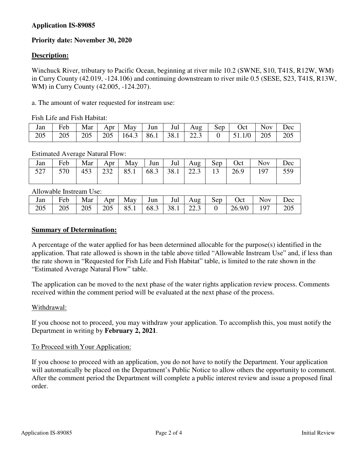# **Application IS-89085**

# **Priority date: November 30, 2020**

### **Description:**

Winchuck River, tributary to Pacific Ocean, beginning at river mile 10.2 (SWNE, S10, T41S, R12W, WM) in Curry County (42.019, -124.106) and continuing downstream to river mile 0.5 (SESE, S23, T41S, R13W, WM) in Curry County (42.005, -124.207).

a. The amount of water requested for instream use:

Fish Life and Fish Habitat:

| Jan | Feb | Mar | Apr 1 | May                          | Jun $\vert$<br>and the state | Jul $\vert$ Aug | Sep | Oct                      | <b>Nov</b> | )ec |
|-----|-----|-----|-------|------------------------------|------------------------------|-----------------|-----|--------------------------|------------|-----|
| 205 | 205 | 205 | 205   | $164.3$   86.1   38.1   22.3 |                              |                 |     | $1 \quad 0 \quad 1511/0$ | 205        | 205 |

#### Estimated Average Natural Flow:

| Jan |                 |  |  |  |  | Feb   Mar   Apr   May   Jun   Jul   Aug   Sep   Oct   Nov   Dec                                                             |  |
|-----|-----------------|--|--|--|--|-----------------------------------------------------------------------------------------------------------------------------|--|
| 527 | $, \, 1 \, 570$ |  |  |  |  | $\vert$ 453 $\vert$ 232 $\vert$ 85.1 $\vert$ 68.3 $\vert$ 38.1 $\vert$ 22.3 $\vert$ 13 $\vert$ 26.9 $\vert$ 197 $\vert$ 559 |  |

Allowable Instream Use:

| Jan | Feb | Mar |  |  |  | Apr   May   Jun   Jul   Aug   Sep   Oct   '              | <b>Nov</b> | Dec |
|-----|-----|-----|--|--|--|----------------------------------------------------------|------------|-----|
| 205 | 205 |     |  |  |  | 205   205   85.1   68.3   38.1   22.3   0   26.9/0   197 |            | 205 |

#### **Summary of Determination:**

A percentage of the water applied for has been determined allocable for the purpose(s) identified in the application. That rate allowed is shown in the table above titled "Allowable Instream Use" and, if less than the rate shown in "Requested for Fish Life and Fish Habitat" table, is limited to the rate shown in the "Estimated Average Natural Flow" table.

The application can be moved to the next phase of the water rights application review process. Comments received within the comment period will be evaluated at the next phase of the process.

#### Withdrawal:

If you choose not to proceed, you may withdraw your application. To accomplish this, you must notify the Department in writing by **February 2, 2021**.

#### To Proceed with Your Application:

If you choose to proceed with an application, you do not have to notify the Department. Your application will automatically be placed on the Department's Public Notice to allow others the opportunity to comment. After the comment period the Department will complete a public interest review and issue a proposed final order.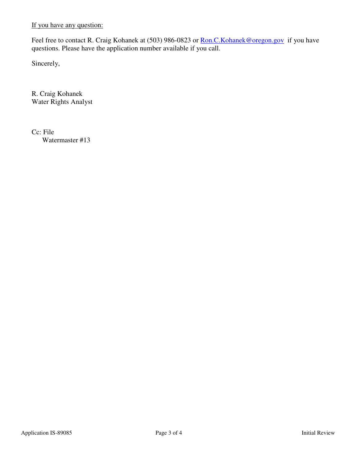If you have any question:

Feel free to contact R. Craig Kohanek at (503) 986-0823 or Ron.C. Kohanek@oregon.gov if you have questions. Please have the application number available if you call.

Sincerely,

R. Craig Kohanek Water Rights Analyst

Cc: File Watermaster #13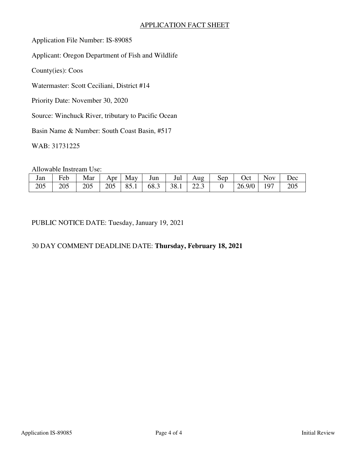# APPLICATION FACT SHEET

Application File Number: IS-89085

Applicant: Oregon Department of Fish and Wildlife

County(ies): Coos

Watermaster: Scott Ceciliani, District #14

Priority Date: November 30, 2020

Source: Winchuck River, tributary to Pacific Ocean

Basin Name & Number: South Coast Basin, #517

WAB: 31731225

Allowable Instream Use:

| Jan | Feb | Mar | Apr | May  | Jun       | Jul | Aug                       | Sep | <b>Oct</b> | Nov. | Dec |
|-----|-----|-----|-----|------|-----------|-----|---------------------------|-----|------------|------|-----|
| 205 | 205 | 205 | 205 | 85.1 | 68.3 38.1 |     | 22 <sub>2</sub><br>ر کا ک |     | 26.9/0     | Q7   | 205 |

PUBLIC NOTICE DATE: Tuesday, January 19, 2021

# 30 DAY COMMENT DEADLINE DATE: **Thursday, February 18, 2021**